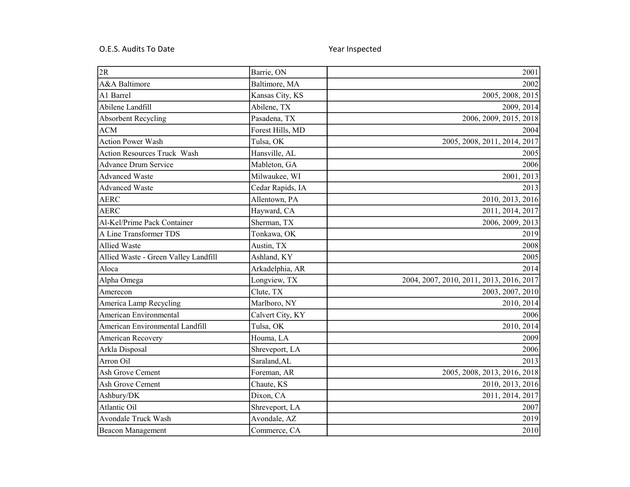## O.E.S. Audits To Date Contract Contract Contract Contract Contract Contract Contract Contract Contract Contract Contract Contract Contract Contract Contract Contract Contract Contract Contract Contract Contract Contract Co

| 2R                                   | Barrie, ON       | 2001                                     |
|--------------------------------------|------------------|------------------------------------------|
| A&A Baltimore                        | Baltimore, MA    | 2002                                     |
| A1 Barrel                            | Kansas City, KS  | 2005, 2008, 2015                         |
| Abilene Landfill                     | Abilene, TX      | 2009, 2014                               |
| <b>Absorbent Recycling</b>           | Pasadena, TX     | 2006, 2009, 2015, 2018                   |
| <b>ACM</b>                           | Forest Hills, MD | 2004                                     |
| <b>Action Power Wash</b>             | Tulsa, OK        | 2005, 2008, 2011, 2014, 2017             |
| Action Resources Truck Wash          | Hansville, AL    | 2005                                     |
| <b>Advance Drum Service</b>          | Mableton, GA     | 2006                                     |
| <b>Advanced Waste</b>                | Milwaukee, WI    | 2001, 2013                               |
| <b>Advanced Waste</b>                | Cedar Rapids, IA | 2013                                     |
| <b>AERC</b>                          | Allentown, PA    | 2010, 2013, 2016                         |
| <b>AERC</b>                          | Hayward, CA      | 2011, 2014, 2017                         |
| Al-Kel/Prime Pack Container          | Sherman, TX      | 2006, 2009, 2013                         |
| A Line Transformer TDS               | Tonkawa, OK      | 2019                                     |
| <b>Allied Waste</b>                  | Austin, TX       | 2008                                     |
| Allied Waste - Green Valley Landfill | Ashland, KY      | 2005                                     |
| Aloca                                | Arkadelphia, AR  | 2014                                     |
| Alpha Omega                          | Longview, TX     | 2004, 2007, 2010, 2011, 2013, 2016, 2017 |
| Amerecon                             | Clute, TX        | 2003, 2007, 2010                         |
| America Lamp Recycling               | Marlboro, NY     | 2010, 2014                               |
| American Environmental               | Calvert City, KY | 2006                                     |
| American Environmental Landfill      | Tulsa, OK        | 2010, 2014                               |
| American Recovery                    | Houma, LA        | 2009                                     |
| Arkla Disposal                       | Shreveport, LA   | 2006                                     |
| Arron Oil                            | Saraland, AL     | 2013                                     |
| Ash Grove Cement                     | Foreman, AR      | 2005, 2008, 2013, 2016, 2018             |
| Ash Grove Cement                     | Chaute, KS       | 2010, 2013, 2016                         |
| Ashbury/DK                           | Dixon, CA        | 2011, 2014, 2017                         |
| Atlantic Oil                         | Shreveport, LA   | 2007                                     |
| <b>Avondale Truck Wash</b>           | Avondale, AZ     | 2019                                     |
| Beacon Management                    | Commerce, CA     | 2010                                     |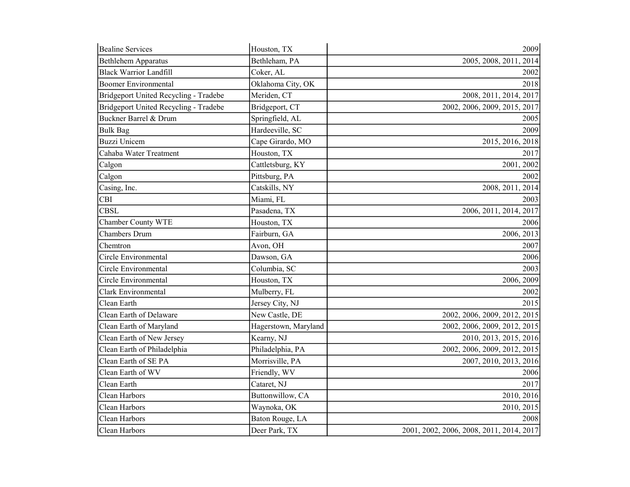| <b>Bealine Services</b>               | Houston, TX          | 2009                                     |
|---------------------------------------|----------------------|------------------------------------------|
| <b>Bethlehem Apparatus</b>            | Bethleham, PA        | 2005, 2008, 2011, 2014                   |
| <b>Black Warrior Landfill</b>         | Coker, AL            | 2002                                     |
| <b>Boomer Environmental</b>           | Oklahoma City, OK    | 2018                                     |
| Bridgeport United Recycling - Tradebe | Meriden, CT          | 2008, 2011, 2014, 2017                   |
| Bridgeport United Recycling - Tradebe | Bridgeport, CT       | 2002, 2006, 2009, 2015, 2017             |
| Buckner Barrel & Drum                 | Springfield, AL      | 2005                                     |
| <b>Bulk Bag</b>                       | Hardeeville, SC      | 2009                                     |
| <b>Buzzi</b> Unicem                   | Cape Girardo, MO     | 2015, 2016, 2018                         |
| Cahaba Water Treatment                | Houston, TX          | 2017                                     |
| Calgon                                | Cattletsburg, KY     | 2001, 2002                               |
| Calgon                                | Pittsburg, PA        | 2002                                     |
| Casing, Inc.                          | Catskills, NY        | 2008, 2011, 2014                         |
| CBI                                   | Miami, FL            | 2003                                     |
| <b>CBSL</b>                           | Pasadena, TX         | 2006, 2011, 2014, 2017                   |
| Chamber County WTE                    | Houston, TX          | 2006                                     |
| <b>Chambers Drum</b>                  | Fairburn, GA         | 2006, 2013                               |
| Chemtron                              | Avon, OH             | 2007                                     |
| Circle Environmental                  | Dawson, GA           | 2006                                     |
| Circle Environmental                  | Columbia, SC         | 2003                                     |
| Circle Environmental                  | Houston, TX          | 2006, 2009                               |
| <b>Clark Environmental</b>            | Mulberry, FL         | 2002                                     |
| Clean Earth                           | Jersey City, NJ      | 2015                                     |
| Clean Earth of Delaware               | New Castle, DE       | 2002, 2006, 2009, 2012, 2015             |
| Clean Earth of Maryland               | Hagerstown, Maryland | 2002, 2006, 2009, 2012, 2015             |
| Clean Earth of New Jersey             | Kearny, NJ           | 2010, 2013, 2015, 2016                   |
| Clean Earth of Philadelphia           | Philadelphia, PA     | 2002, 2006, 2009, 2012, 2015             |
| Clean Earth of SE PA                  | Morrisville, PA      | 2007, 2010, 2013, 2016                   |
| Clean Earth of WV                     | Friendly, WV         | 2006                                     |
| Clean Earth                           | Cataret, NJ          | 2017                                     |
| Clean Harbors                         | Buttonwillow, CA     | 2010, 2016                               |
| Clean Harbors                         | Waynoka, OK          | 2010, 2015                               |
| Clean Harbors                         | Baton Rouge, LA      | 2008                                     |
| Clean Harbors                         | Deer Park, TX        | 2001, 2002, 2006, 2008, 2011, 2014, 2017 |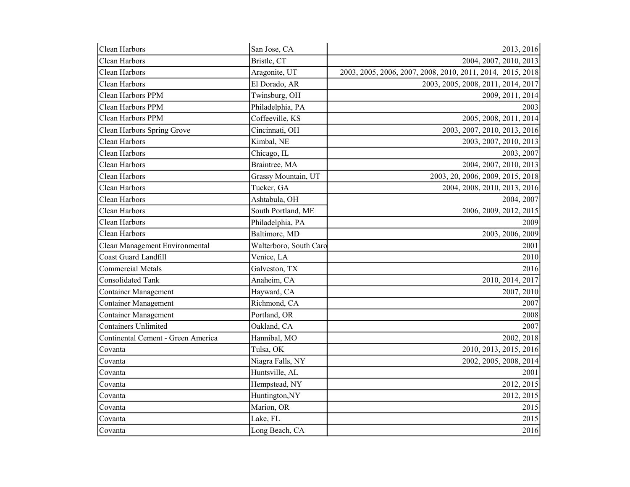| Clean Harbors                      | San Jose, CA           | 2013, 2016                                                 |
|------------------------------------|------------------------|------------------------------------------------------------|
| Clean Harbors                      | Bristle, CT            | 2004, 2007, 2010, 2013                                     |
| Clean Harbors                      | Aragonite, UT          | 2003, 2005, 2006, 2007, 2008, 2010, 2011, 2014, 2015, 2018 |
| Clean Harbors                      | El Dorado, AR          | 2003, 2005, 2008, 2011, 2014, 2017                         |
| Clean Harbors PPM                  | Twinsburg, OH          | 2009, 2011, 2014                                           |
| Clean Harbors PPM                  | Philadelphia, PA       | 2003                                                       |
| Clean Harbors PPM                  | Coffeeville, KS        | 2005, 2008, 2011, 2014                                     |
| Clean Harbors Spring Grove         | Cincinnati, OH         | 2003, 2007, 2010, 2013, 2016                               |
| Clean Harbors                      | Kimbal, NE             | 2003, 2007, 2010, 2013                                     |
| Clean Harbors                      | Chicago, IL            | 2003, 2007                                                 |
| Clean Harbors                      | Braintree, MA          | 2004, 2007, 2010, 2013                                     |
| Clean Harbors                      | Grassy Mountain, UT    | 2003, 20, 2006, 2009, 2015, 2018                           |
| Clean Harbors                      | Tucker, GA             | 2004, 2008, 2010, 2013, 2016                               |
| Clean Harbors                      | Ashtabula, OH          | 2004, 2007                                                 |
| Clean Harbors                      | South Portland, ME     | 2006, 2009, 2012, 2015                                     |
| Clean Harbors                      | Philadelphia, PA       | 2009                                                       |
| Clean Harbors                      | Baltimore, MD          | 2003, 2006, 2009                                           |
| Clean Management Environmental     | Walterboro, South Caro | 2001                                                       |
| Coast Guard Landfill               | Venice, LA             | 2010                                                       |
| <b>Commercial Metals</b>           | Galveston, TX          | 2016                                                       |
| <b>Consolidated Tank</b>           | Anaheim, CA            | 2010, 2014, 2017                                           |
| <b>Container Management</b>        | Hayward, CA            | 2007, 2010                                                 |
| <b>Container Management</b>        | Richmond, CA           | 2007                                                       |
| <b>Container Management</b>        | Portland, OR           | 2008                                                       |
| Containers Unlimited               | Oakland, CA            | 2007                                                       |
| Continental Cement - Green America | Hannibal, MO           | 2002, 2018                                                 |
| Covanta                            | Tulsa, OK              | 2010, 2013, 2015, 2016                                     |
| Covanta                            | Niagra Falls, NY       | 2002, 2005, 2008, 2014                                     |
| Covanta                            | Huntsville, AL         | 2001                                                       |
| Covanta                            | Hempstead, NY          | 2012, 2015                                                 |
| Covanta                            | Huntington,NY          | 2012, 2015                                                 |
| Covanta                            | Marion, OR             | 2015                                                       |
| Covanta                            | Lake, FL               | 2015                                                       |
| Covanta                            | Long Beach, CA         | 2016                                                       |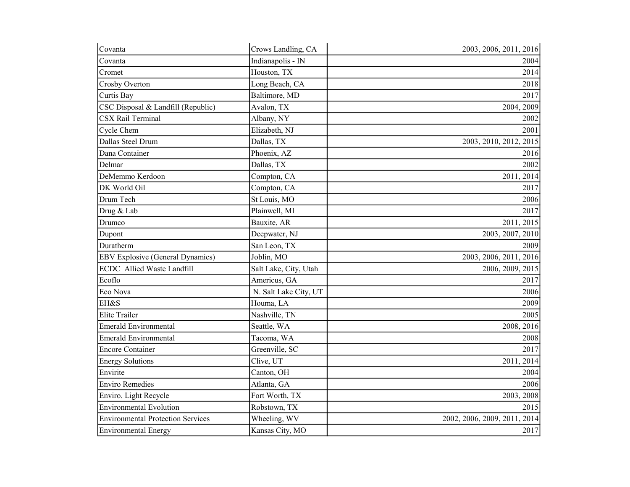| Covanta                                  | Crows Landling, CA    | 2003, 2006, 2011, 2016       |
|------------------------------------------|-----------------------|------------------------------|
| Covanta                                  | Indianapolis - IN     | 2004                         |
| Cromet                                   | Houston, TX           | 2014                         |
| Crosby Overton                           | Long Beach, CA        | 2018                         |
| Curtis Bay                               | Baltimore, MD         | 2017                         |
| CSC Disposal & Landfill (Republic)       | Avalon, TX            | 2004, 2009                   |
| <b>CSX Rail Terminal</b>                 | Albany, NY            | 2002                         |
| Cycle Chem                               | Elizabeth, NJ         | 2001                         |
| Dallas Steel Drum                        | Dallas, TX            | 2003, 2010, 2012, 2015       |
| Dana Container                           | Phoenix, AZ           | 2016                         |
| Delmar                                   | Dallas, TX            | 2002                         |
| DeMemmo Kerdoon                          | Compton, CA           | 2011, 2014                   |
| DK World Oil                             | Compton, CA           | 2017                         |
| Drum Tech                                | St Louis, MO          | 2006                         |
| Drug & Lab                               | Plainwell, MI         | 2017                         |
| Drumco                                   | Bauxite, AR           | 2011, 2015                   |
| Dupont                                   | Deepwater, NJ         | 2003, 2007, 2010             |
| Duratherm                                | San Leon, TX          | 2009                         |
| <b>EBV Explosive (General Dynamics)</b>  | Joblin, MO            | 2003, 2006, 2011, 2016       |
| ECDC Allied Waste Landfill               | Salt Lake, City, Utah | 2006, 2009, 2015             |
| Ecoflo                                   | Americus, GA          | 2017                         |
| Eco Nova                                 | N. Salt Lake City, UT | 2006                         |
| EH&S                                     | Houma, LA             | 2009                         |
| <b>Elite Trailer</b>                     | Nashville, TN         | 2005                         |
| <b>Emerald Environmental</b>             | Seattle, WA           | 2008, 2016                   |
| <b>Emerald Environmental</b>             | Tacoma, WA            | 2008                         |
| <b>Encore Container</b>                  | Greenville, SC        | 2017                         |
| <b>Energy Solutions</b>                  | Clive, UT             | 2011, 2014                   |
| Envirite                                 | Canton, OH            | 2004                         |
| <b>Enviro Remedies</b>                   | Atlanta, GA           | 2006                         |
| Enviro. Light Recycle                    | Fort Worth, TX        | 2003, 2008                   |
| <b>Environmental Evolution</b>           | Robstown, TX          | 2015                         |
| <b>Environmental Protection Services</b> | Wheeling, WV          | 2002, 2006, 2009, 2011, 2014 |
| Environmental Energy                     | Kansas City, MO       | 2017                         |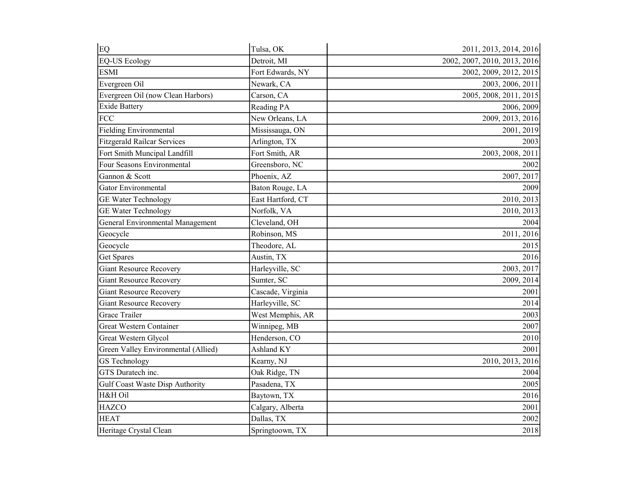| EQ                                  | Tulsa, OK         | 2011, 2013, 2014, 2016       |
|-------------------------------------|-------------------|------------------------------|
| <b>EQ-US Ecology</b>                | Detroit, MI       | 2002, 2007, 2010, 2013, 2016 |
| <b>ESMI</b>                         | Fort Edwards, NY  | 2002, 2009, 2012, 2015       |
| Evergreen Oil                       | Newark, CA        | 2003, 2006, 2011             |
| Evergreen Oil (now Clean Harbors)   | Carson, CA        | 2005, 2008, 2011, 2015       |
| <b>Exide Battery</b>                | Reading PA        | 2006, 2009                   |
| <b>FCC</b>                          | New Orleans, LA   | 2009, 2013, 2016             |
| <b>Fielding Environmental</b>       | Mississauga, ON   | 2001, 2019                   |
| <b>Fitzgerald Railcar Services</b>  | Arlington, TX     | 2003                         |
| Fort Smith Muncipal Landfill        | Fort Smith, AR    | 2003, 2008, 2011             |
| Four Seasons Environmental          | Greensboro, NC    | 2002                         |
| Gannon & Scott                      | Phoenix, AZ       | 2007, 2017                   |
| <b>Gator Environmental</b>          | Baton Rouge, LA   | 2009                         |
| <b>GE Water Technology</b>          | East Hartford, CT | 2010, 2013                   |
| GE Water Technology                 | Norfolk, VA       | 2010, 2013                   |
| General Environmental Management    | Cleveland, OH     | 2004                         |
| Geocycle                            | Robinson, MS      | 2011, 2016                   |
| Geocycle                            | Theodore, AL      | 2015                         |
| <b>Get Spares</b>                   | Austin, TX        | 2016                         |
| <b>Giant Resource Recovery</b>      | Harleyville, SC   | 2003, 2017                   |
| <b>Giant Resource Recovery</b>      | Sumter, SC        | 2009, 2014                   |
| <b>Giant Resource Recovery</b>      | Cascade, Virginia | 2001                         |
| <b>Giant Resource Recovery</b>      | Harleyville, SC   | 2014                         |
| <b>Grace Trailer</b>                | West Memphis, AR  | 2003                         |
| Great Western Container             | Winnipeg, MB      | 2007                         |
| Great Western Glycol                | Henderson, CO     | 2010                         |
| Green Valley Environmental (Allied) | Ashland KY        | 2001                         |
| <b>GS</b> Technology                | Kearny, NJ        | 2010, 2013, 2016             |
| GTS Duratech inc.                   | Oak Ridge, TN     | 2004                         |
| Gulf Coast Waste Disp Authority     | Pasadena, TX      | 2005                         |
| H&H Oil                             | Baytown, TX       | 2016                         |
| <b>HAZCO</b>                        | Calgary, Alberta  | 2001                         |
| <b>HEAT</b>                         | Dallas, TX        | 2002                         |
| Heritage Crystal Clean              | Springtoown, TX   | 2018                         |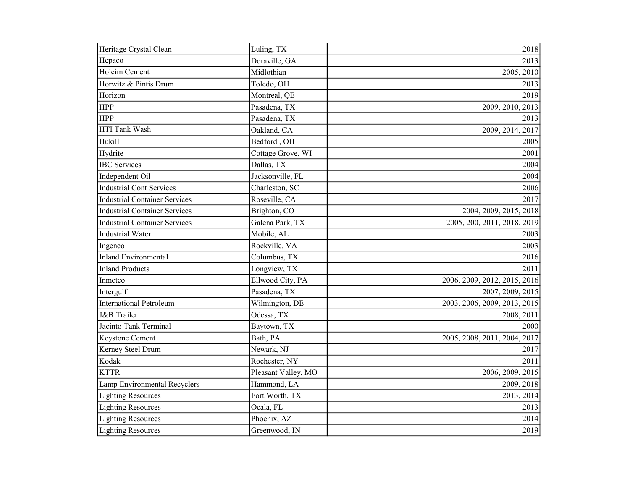| Heritage Crystal Clean               | Luling, TX          | 2018                         |
|--------------------------------------|---------------------|------------------------------|
| Hepaco                               | Doraville, GA       | 2013                         |
| Holcim Cement                        | Midlothian          | 2005, 2010                   |
| Horwitz & Pintis Drum                | Toledo, OH          | 2013                         |
| Horizon                              | Montreal, QE        | 2019                         |
| <b>HPP</b>                           | Pasadena, TX        | 2009, 2010, 2013             |
| <b>HPP</b>                           | Pasadena, TX        | 2013                         |
| HTI Tank Wash                        | Oakland, CA         | 2009, 2014, 2017             |
| Hukill                               | Bedford, OH         | 2005                         |
| Hydrite                              | Cottage Grove, WI   | 2001                         |
| <b>IBC</b> Services                  | Dallas, TX          | 2004                         |
| Independent Oil                      | Jacksonville, FL    | 2004                         |
| <b>Industrial Cont Services</b>      | Charleston, SC      | 2006                         |
| <b>Industrial Container Services</b> | Roseville, CA       | 2017                         |
| <b>Industrial Container Services</b> | Brighton, CO        | 2004, 2009, 2015, 2018       |
| <b>Industrial Container Services</b> | Galena Park, TX     | 2005, 200, 2011, 2018, 2019  |
| <b>Industrial Water</b>              | Mobile, AL          | 2003                         |
| Ingenco                              | Rockville, VA       | 2003                         |
| <b>Inland Environmental</b>          | Columbus, TX        | 2016                         |
| <b>Inland Products</b>               | Longview, TX        | 2011                         |
| Inmetco                              | Ellwood City, PA    | 2006, 2009, 2012, 2015, 2016 |
| Intergulf                            | Pasadena, TX        | 2007, 2009, 2015             |
| <b>International Petroleum</b>       | Wilmington, DE      | 2003, 2006, 2009, 2013, 2015 |
| <b>J&amp;B</b> Trailer               | Odessa, TX          | 2008, 2011                   |
| Jacinto Tank Terminal                | Baytown, TX         | 2000                         |
| Keystone Cement                      | Bath, PA            | 2005, 2008, 2011, 2004, 2017 |
| Kerney Steel Drum                    | Newark, NJ          | 2017                         |
| Kodak                                | Rochester, NY       | 2011                         |
| <b>KTTR</b>                          | Pleasant Valley, MO | 2006, 2009, 2015             |
| Lamp Environmental Recyclers         | Hammond, LA         | 2009, 2018                   |
| <b>Lighting Resources</b>            | Fort Worth, TX      | 2013, 2014                   |
| <b>Lighting Resources</b>            | Ocala, FL           | 2013                         |
| <b>Lighting Resources</b>            | Phoenix, AZ         | 2014                         |
| <b>Lighting Resources</b>            | Greenwood, IN       | 2019                         |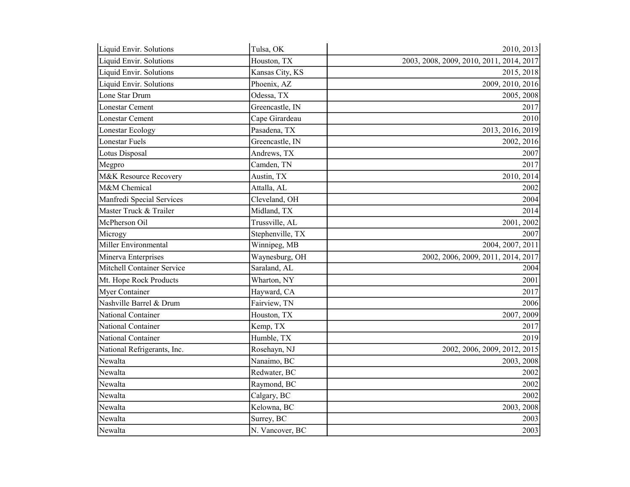| Liquid Envir. Solutions           | Tulsa, OK        | 2010, 2013                               |
|-----------------------------------|------------------|------------------------------------------|
| Liquid Envir. Solutions           | Houston, TX      | 2003, 2008, 2009, 2010, 2011, 2014, 2017 |
| Liquid Envir. Solutions           | Kansas City, KS  | 2015, 2018                               |
| Liquid Envir. Solutions           | Phoenix, AZ      | 2009, 2010, 2016                         |
| Lone Star Drum                    | Odessa, TX       | 2005, 2008                               |
| <b>Lonestar Cement</b>            | Greencastle, IN  | 2017                                     |
| <b>Lonestar Cement</b>            | Cape Girardeau   | 2010                                     |
| Lonestar Ecology                  | Pasadena, TX     | 2013, 2016, 2019                         |
| Lonestar Fuels                    | Greencastle, IN  | 2002, 2016                               |
| Lotus Disposal                    | Andrews, TX      | 2007                                     |
| Megpro                            | Camden, TN       | 2017                                     |
| M&K Resource Recovery             | Austin, TX       | 2010, 2014                               |
| M&M Chemical                      | Attalla, AL      | 2002                                     |
| Manfredi Special Services         | Cleveland, OH    | 2004                                     |
| Master Truck & Trailer            | Midland, TX      | 2014                                     |
| McPherson Oil                     | Trussville, AL   | 2001, 2002                               |
| Microgy                           | Stephenville, TX | 2007                                     |
| Miller Environmental              | Winnipeg, MB     | 2004, 2007, 2011                         |
| Minerva Enterprises               | Waynesburg, OH   | 2002, 2006, 2009, 2011, 2014, 2017       |
| <b>Mitchell Container Service</b> | Saraland, AL     | 2004                                     |
| Mt. Hope Rock Products            | Wharton, NY      | 2001                                     |
| Myer Container                    | Hayward, CA      | 2017                                     |
| Nashville Barrel & Drum           | Fairview, TN     | 2006                                     |
| National Container                | Houston, TX      | 2007, 2009                               |
| National Container                | Kemp, TX         | 2017                                     |
| National Container                | Humble, TX       | 2019                                     |
| National Refrigerants, Inc.       | Rosehayn, NJ     | 2002, 2006, 2009, 2012, 2015             |
| Newalta                           | Nanaimo, BC      | 2003, 2008                               |
| Newalta                           | Redwater, BC     | 2002                                     |
| Newalta                           | Raymond, BC      | 2002                                     |
| Newalta                           | Calgary, BC      | 2002                                     |
| Newalta                           | Kelowna, BC      | 2003, 2008                               |
| Newalta                           | Surrey, BC       | 2003                                     |
| Newalta                           | N. Vancover, BC  | 2003                                     |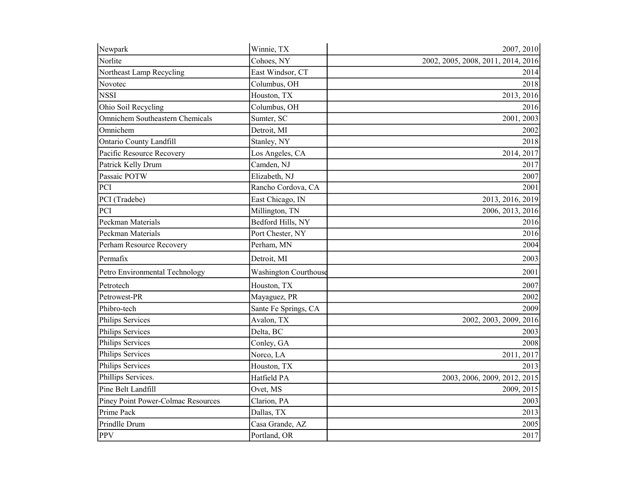| Newpark                                   | Winnie, TX                   | 2007, 2010                         |
|-------------------------------------------|------------------------------|------------------------------------|
| Norlite                                   | Cohoes, NY                   | 2002, 2005, 2008, 2011, 2014, 2016 |
| Northeast Lamp Recycling                  | East Windsor, CT             | 2014                               |
| Novotec                                   | Columbus, OH                 | 2018                               |
| <b>NSSI</b>                               | Houston, TX                  | 2013, 2016                         |
| Ohio Soil Recycling                       | Columbus, OH                 | 2016                               |
| Omnichem Southeastern Chemicals           | Sumter, SC                   | 2001, 2003                         |
| Omnichem                                  | Detroit, MI                  | 2002                               |
| <b>Ontario County Landfill</b>            | Stanley, NY                  | 2018                               |
| Pacific Resource Recovery                 | Los Angeles, CA              | 2014, 2017                         |
| Patrick Kelly Drum                        | Camden, NJ                   | 2017                               |
| Passaic POTW                              | Elizabeth, NJ                | 2007                               |
| PCI                                       | Rancho Cordova, CA           | 2001                               |
| PCI (Tradebe)                             | East Chicago, IN             | 2013, 2016, 2019                   |
| PCI                                       | Millington, TN               | 2006, 2013, 2016                   |
| Peckman Materials                         | Bedford Hills, NY            | 2016                               |
| Peckman Materials                         | Port Chester, NY             | 2016                               |
| Perham Resource Recovery                  | Perham, MN                   | 2004                               |
| Permafix                                  | Detroit, MI                  | 2003                               |
| Petro Environmental Technology            | <b>Washington Courthouse</b> | 2001                               |
| Petrotech                                 | Houston, TX                  | 2007                               |
| Petrowest-PR                              | Mayaguez, PR                 | 2002                               |
| Phibro-tech                               | Sante Fe Springs, CA         | 2009                               |
| Philips Services                          | Avalon, TX                   | 2002, 2003, 2009, 2016             |
| Philips Services                          | Delta, BC                    | 2003                               |
| Philips Services                          | Conley, GA                   | 2008                               |
| Philips Services                          | Norco, LA                    | 2011, 2017                         |
| Philips Services                          | Houston, TX                  | 2013                               |
| Phillips Services.                        | Hatfield PA                  | 2003, 2006, 2009, 2012, 2015       |
| Pine Belt Landfill                        | Ovet, MS                     | 2009, 2015                         |
| <b>Piney Point Power-Colmac Resources</b> | Clarion, PA                  | 2003                               |
| Prime Pack                                | Dallas, TX                   | 2013                               |
| Prindlle Drum                             | Casa Grande, AZ              | 2005                               |
| <b>PPV</b>                                | Portland, OR                 | 2017                               |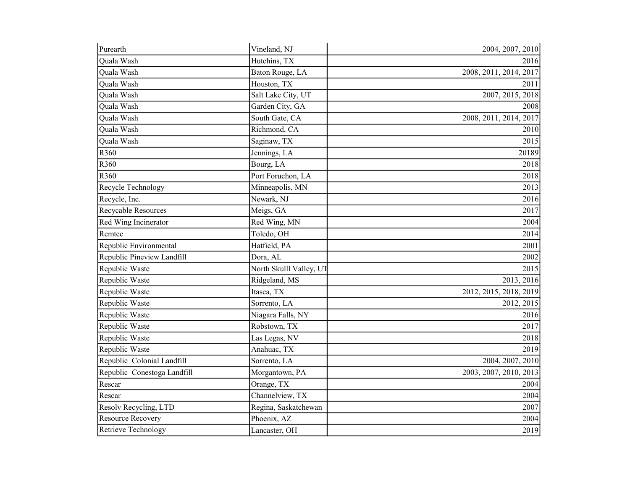| Purearth                    | Vineland, NJ            | 2004, 2007, 2010       |
|-----------------------------|-------------------------|------------------------|
| Quala Wash                  | Hutchins, TX            | 2016                   |
| Quala Wash                  | Baton Rouge, LA         | 2008, 2011, 2014, 2017 |
| Quala Wash                  | Houston, TX             | 2011                   |
| Quala Wash                  | Salt Lake City, UT      | 2007, 2015, 2018       |
| Quala Wash                  | Garden City, GA         | 2008                   |
| Quala Wash                  | South Gate, CA          | 2008, 2011, 2014, 2017 |
| Quala Wash                  | Richmond, CA            | 2010                   |
| Quala Wash                  | Saginaw, TX             | 2015                   |
| R360                        | Jennings, LA            | 20189                  |
| R360                        | Bourg, LA               | 2018                   |
| R360                        | Port Foruchon, LA       | 2018                   |
| Recycle Technology          | Minneapolis, MN         | 2013                   |
| Recycle, Inc.               | Newark, NJ              | 2016                   |
| Recycable Resources         | Meigs, GA               | 2017                   |
| Red Wing Incinerator        | Red Wing, MN            | 2004                   |
| Remtec                      | Toledo, OH              | 2014                   |
| Republic Environmental      | Hatfield, PA            | 2001                   |
| Republic Pineview Landfill  | Dora, AL                | 2002                   |
| Republic Waste              | North Skulll Valley, UT | 2015                   |
| Republic Waste              | Ridgeland, MS           | 2013, 2016             |
| Republic Waste              | Itasca, TX              | 2012, 2015, 2018, 2019 |
| Republic Waste              | Sorrento, LA            | 2012, 2015             |
| Republic Waste              | Niagara Falls, NY       | 2016                   |
| Republic Waste              | Robstown, TX            | 2017                   |
| Republic Waste              | Las Legas, NV           | 2018                   |
| Republic Waste              | Anahuac, TX             | 2019                   |
| Republic Colonial Landfill  | Sorrento, LA            | 2004, 2007, 2010       |
| Republic Conestoga Landfill | Morgantown, PA          | 2003, 2007, 2010, 2013 |
| Rescar                      | Orange, TX              | 2004                   |
| Rescar                      | Channelview, TX         | 2004                   |
| Resolv Recycling, LTD       | Regina, Saskatchewan    | 2007                   |
| <b>Resource Recovery</b>    | Phoenix, AZ             | 2004                   |
| Retrieve Technology         | Lancaster, OH           | 2019                   |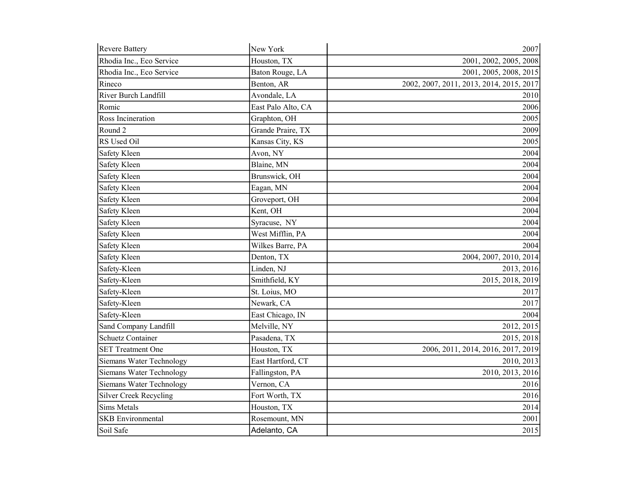| Revere Battery                  | New York           | 2007                                     |
|---------------------------------|--------------------|------------------------------------------|
| Rhodia Inc., Eco Service        | Houston, TX        | 2001, 2002, 2005, 2008                   |
| Rhodia Inc., Eco Service        | Baton Rouge, LA    | 2001, 2005, 2008, 2015                   |
| Rineco                          | Benton, AR         | 2002, 2007, 2011, 2013, 2014, 2015, 2017 |
| River Burch Landfill            | Avondale, LA       | 2010                                     |
| Romic                           | East Palo Alto, CA | 2006                                     |
| Ross Incineration               | Graphton, OH       | 2005                                     |
| Round 2                         | Grande Praire, TX  | 2009                                     |
| RS Used Oil                     | Kansas City, KS    | 2005                                     |
| Safety Kleen                    | Avon, NY           | 2004                                     |
| <b>Safety Kleen</b>             | Blaine, MN         | 2004                                     |
| Safety Kleen                    | Brunswick, OH      | 2004                                     |
| Safety Kleen                    | Eagan, MN          | 2004                                     |
| Safety Kleen                    | Groveport, OH      | 2004                                     |
| Safety Kleen                    | Kent, OH           | 2004                                     |
| Safety Kleen                    | Syracuse, NY       | 2004                                     |
| Safety Kleen                    | West Mifflin, PA   | 2004                                     |
| Safety Kleen                    | Wilkes Barre, PA   | 2004                                     |
| Safety Kleen                    | Denton, TX         | 2004, 2007, 2010, 2014                   |
| Safety-Kleen                    | Linden, NJ         | 2013, 2016                               |
| Safety-Kleen                    | Smithfield, KY     | 2015, 2018, 2019                         |
| Safety-Kleen                    | St. Loius, MO      | 2017                                     |
| Safety-Kleen                    | Newark, CA         | 2017                                     |
| Safety-Kleen                    | East Chicago, IN   | 2004                                     |
| Sand Company Landfill           | Melville, NY       | 2012, 2015                               |
| <b>Schuetz Container</b>        | Pasadena, TX       | 2015, 2018                               |
| <b>SET Treatment One</b>        | Houston, TX        | 2006, 2011, 2014, 2016, 2017, 2019       |
| Siemans Water Technology        | East Hartford, CT  | 2010, 2013                               |
| Siemans Water Technology        | Fallingston, PA    | 2010, 2013, 2016                         |
| <b>Siemans Water Technology</b> | Vernon, CA         | 2016                                     |
| <b>Silver Creek Recycling</b>   | Fort Worth, TX     | 2016                                     |
| <b>Sims Metals</b>              | Houston, TX        | 2014                                     |
| <b>SKB</b> Environmental        | Rosemount, MN      | 2001                                     |
| Soil Safe                       | Adelanto, CA       | 2015                                     |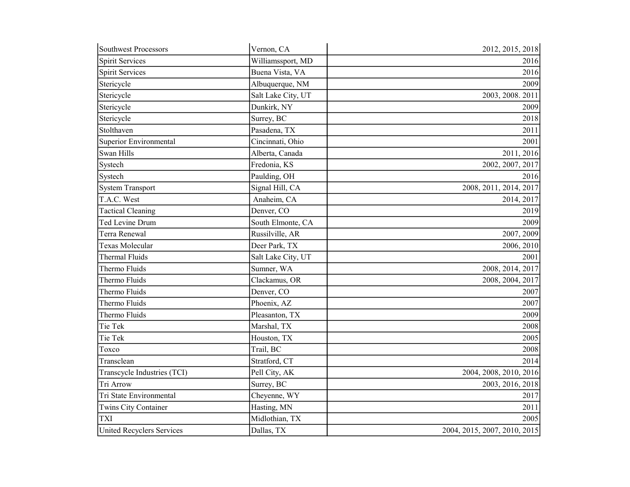| <b>Southwest Processors</b>      | Vernon, CA         | 2012, 2015, 2018             |
|----------------------------------|--------------------|------------------------------|
| <b>Spirit Services</b>           | Williamssport, MD  | 2016                         |
| <b>Spirit Services</b>           | Buena Vista, VA    | 2016                         |
| Stericycle                       | Albuquerque, NM    | 2009                         |
| Stericycle                       | Salt Lake City, UT | 2003, 2008. 2011             |
| Stericycle                       | Dunkirk, NY        | 2009                         |
| Stericycle                       | Surrey, BC         | 2018                         |
| Stolthaven                       | Pasadena, TX       | 2011                         |
| Superior Environmental           | Cincinnati, Ohio   | 2001                         |
| Swan Hills                       | Alberta, Canada    | 2011, 2016                   |
| Systech                          | Fredonia, KS       | 2002, 2007, 2017             |
| Systech                          | Paulding, OH       | 2016                         |
| <b>System Transport</b>          | Signal Hill, CA    | 2008, 2011, 2014, 2017       |
| T.A.C. West                      | Anaheim, CA        | 2014, 2017                   |
| <b>Tactical Cleaning</b>         | Denver, CO         | 2019                         |
| Ted Levine Drum                  | South Elmonte, CA  | 2009                         |
| Terra Renewal                    | Russilville, AR    | 2007, 2009                   |
| <b>Texas Molecular</b>           | Deer Park, TX      | 2006, 2010                   |
| Thermal Fluids                   | Salt Lake City, UT | 2001                         |
| Thermo Fluids                    | Sumner, WA         | 2008, 2014, 2017             |
| Thermo Fluids                    | Clackamus, OR      | 2008, 2004, 2017             |
| Thermo Fluids                    | Denver, CO         | 2007                         |
| Thermo Fluids                    | Phoenix, AZ        | 2007                         |
| Thermo Fluids                    | Pleasanton, TX     | 2009                         |
| Tie Tek                          | Marshal, TX        | 2008                         |
| Tie Tek                          | Houston, TX        | 2005                         |
| Toxco                            | Trail, BC          | 2008                         |
| Transclean                       | Stratford, CT      | 2014                         |
| Transcycle Industries (TCI)      | Pell City, AK      | 2004, 2008, 2010, 2016       |
| Tri Arrow                        | Surrey, BC         | 2003, 2016, 2018             |
| Tri State Environmental          | Cheyenne, WY       | 2017                         |
| Twins City Container             | Hasting, MN        | 2011                         |
| <b>TXI</b>                       | Midlothian, TX     | 2005                         |
| <b>United Recyclers Services</b> | Dallas, TX         | 2004, 2015, 2007, 2010, 2015 |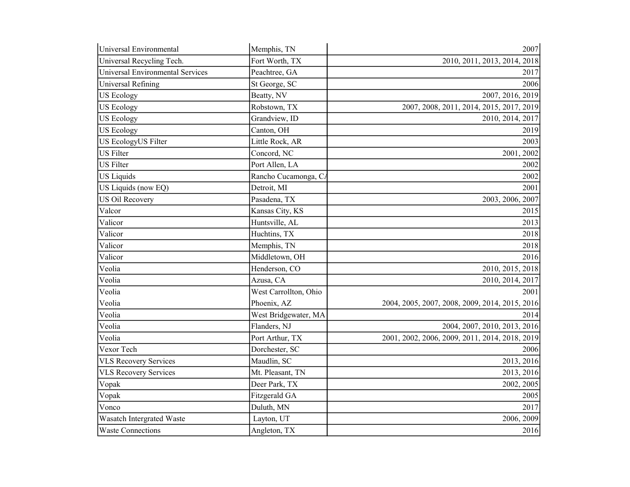| Universal Environmental                 | Memphis, TN           | 2007                                           |
|-----------------------------------------|-----------------------|------------------------------------------------|
| Universal Recycling Tech.               | Fort Worth, TX        | 2010, 2011, 2013, 2014, 2018                   |
| <b>Universal Environmental Services</b> | Peachtree, GA         | 2017                                           |
| Universal Refining                      | St George, SC         | 2006                                           |
| <b>US Ecology</b>                       | Beatty, NV            | 2007, 2016, 2019                               |
| <b>US Ecology</b>                       | Robstown, TX          | 2007, 2008, 2011, 2014, 2015, 2017, 2019       |
| <b>US Ecology</b>                       | Grandview, ID         | 2010, 2014, 2017                               |
| <b>US Ecology</b>                       | Canton, OH            | 2019                                           |
| US EcologyUS Filter                     | Little Rock, AR       | 2003                                           |
| <b>US</b> Filter                        | Concord, NC           | 2001, 2002                                     |
| <b>US</b> Filter                        | Port Allen, LA        | 2002                                           |
| <b>US Liquids</b>                       | Rancho Cucamonga, CA  | 2002                                           |
| US Liquids (now EQ)                     | Detroit, MI           | 2001                                           |
| <b>US Oil Recovery</b>                  | Pasadena, TX          | 2003, 2006, 2007                               |
| Valcor                                  | Kansas City, KS       | 2015                                           |
| Valicor                                 | Huntsville, AL        | 2013                                           |
| Valicor                                 | Huchtins, TX          | 2018                                           |
| Valicor                                 | Memphis, TN           | 2018                                           |
| Valicor                                 | Middletown, OH        | 2016                                           |
| Veolia                                  | Henderson, CO         | 2010, 2015, 2018                               |
| Veolia                                  | Azusa, CA             | 2010, 2014, 2017                               |
| Veolia                                  | West Carrollton, Ohio | 2001                                           |
| Veolia                                  | Phoenix, AZ           | 2004, 2005, 2007, 2008, 2009, 2014, 2015, 2016 |
| Veolia                                  | West Bridgewater, MA  | 2014                                           |
| Veolia                                  | Flanders, NJ          | 2004, 2007, 2010, 2013, 2016                   |
| Veolia                                  | Port Arthur, TX       | 2001, 2002, 2006, 2009, 2011, 2014, 2018, 2019 |
| Vexor Tech                              | Dorchester, SC        | 2006                                           |
| <b>VLS Recovery Services</b>            | Maudlin, SC           | 2013, 2016                                     |
| <b>VLS Recovery Services</b>            | Mt. Pleasant, TN      | 2013, 2016                                     |
| Vopak                                   | Deer Park, TX         | 2002, 2005                                     |
| Vopak                                   | Fitzgerald GA         | 2005                                           |
| Vonco                                   | Duluth, MN            | 2017                                           |
| Wasatch Intergrated Waste               | Layton, UT            | 2006, 2009                                     |
| <b>Waste Connections</b>                | Angleton, TX          | 2016                                           |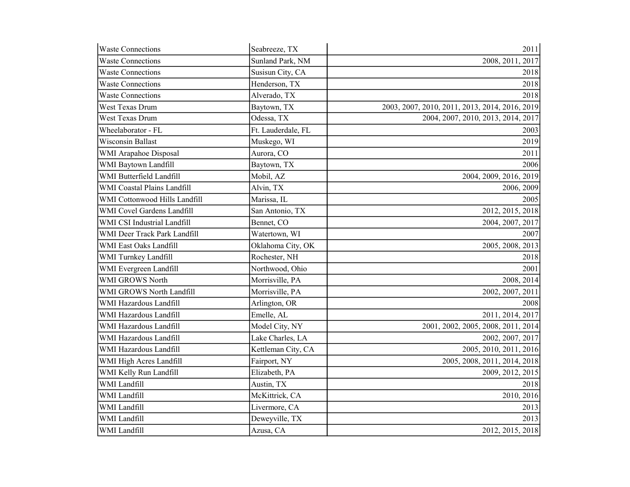| <b>Waste Connections</b>      | Seabreeze, TX      | 2011                                           |
|-------------------------------|--------------------|------------------------------------------------|
| <b>Waste Connections</b>      | Sunland Park, NM   | 2008, 2011, 2017                               |
| <b>Waste Connections</b>      | Susisun City, CA   | 2018                                           |
| <b>Waste Connections</b>      | Henderson, TX      | 2018                                           |
| <b>Waste Connections</b>      | Alverado, TX       | 2018                                           |
| West Texas Drum               | Baytown, TX        | 2003, 2007, 2010, 2011, 2013, 2014, 2016, 2019 |
| West Texas Drum               | Odessa, TX         | 2004, 2007, 2010, 2013, 2014, 2017             |
| Wheelaborator - FL            | Ft. Lauderdale, FL | 2003                                           |
| Wisconsin Ballast             | Muskego, WI        | 2019                                           |
| WMI Arapahoe Disposal         | Aurora, CO         | 2011                                           |
| WMI Baytown Landfill          | Baytown, TX        | 2006                                           |
| WMI Butterfield Landfill      | Mobil, AZ          | 2004, 2009, 2016, 2019                         |
| WMI Coastal Plains Landfill   | Alvin, TX          | 2006, 2009                                     |
| WMI Cottonwood Hills Landfill | Marissa, IL        | 2005                                           |
| WMI Covel Gardens Landfill    | San Antonio, TX    | 2012, 2015, 2018                               |
| WMI CSI Industrial Landfill   | Bennet, CO         | 2004, 2007, 2017                               |
| WMI Deer Track Park Landfill  | Watertown, WI      | 2007                                           |
| WMI East Oaks Landfill        | Oklahoma City, OK  | 2005, 2008, 2013                               |
| WMI Turnkey Landfill          | Rochester, NH      | 2018                                           |
| WMI Evergreen Landfill        | Northwood, Ohio    | 2001                                           |
| WMI GROWS North               | Morrisville, PA    | 2008, 2014                                     |
| WMI GROWS North Landfill      | Morrisville, PA    | 2002, 2007, 2011                               |
| WMI Hazardous Landfill        | Arlington, OR      | 2008                                           |
| WMI Hazardous Landfill        | Emelle, AL         | 2011, 2014, 2017                               |
| WMI Hazardous Landfill        | Model City, NY     | 2001, 2002, 2005, 2008, 2011, 2014             |
| WMI Hazardous Landfill        | Lake Charles, LA   | 2002, 2007, 2017                               |
| WMI Hazardous Landfill        | Kettleman City, CA | 2005, 2010, 2011, 2016                         |
| WMI High Acres Landfill       | Fairport, NY       | 2005, 2008, 2011, 2014, 2018                   |
| WMI Kelly Run Landfill        | Elizabeth, PA      | 2009, 2012, 2015                               |
| WMI Landfill                  | Austin, TX         | 2018                                           |
| WMI Landfill                  | McKittrick, CA     | 2010, 2016                                     |
| WMI Landfill                  | Livermore, CA      | 2013                                           |
| WMI Landfill                  | Deweyville, TX     | 2013                                           |
| WMI Landfill                  | Azusa, CA          | 2012, 2015, 2018                               |